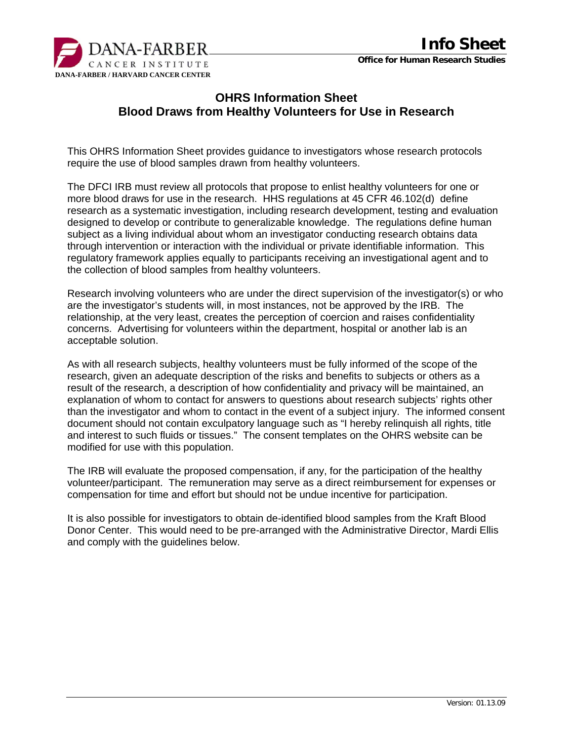

## **OHRS Information Sheet Blood Draws from Healthy Volunteers for Use in Research**

This OHRS Information Sheet provides guidance to investigators whose research protocols require the use of blood samples drawn from healthy volunteers.

The DFCI IRB must review all protocols that propose to enlist healthy volunteers for one or more blood draws for use in the research. HHS regulations at 45 CFR 46.102(d) define research as a systematic investigation, including research development, testing and evaluation designed to develop or contribute to generalizable knowledge. The regulations define human subject as a living individual about whom an investigator conducting research obtains data through intervention or interaction with the individual or private identifiable information. This regulatory framework applies equally to participants receiving an investigational agent and to the collection of blood samples from healthy volunteers.

Research involving volunteers who are under the direct supervision of the investigator(s) or who are the investigator's students will, in most instances, not be approved by the IRB. The relationship, at the very least, creates the perception of coercion and raises confidentiality concerns. Advertising for volunteers within the department, hospital or another lab is an acceptable solution.

As with all research subjects, healthy volunteers must be fully informed of the scope of the research, given an adequate description of the risks and benefits to subjects or others as a result of the research, a description of how confidentiality and privacy will be maintained, an explanation of whom to contact for answers to questions about research subjects' rights other than the investigator and whom to contact in the event of a subject injury. The informed consent document should not contain exculpatory language such as "I hereby relinquish all rights, title and interest to such fluids or tissues." The consent templates on the OHRS website can be modified for use with this population.

The IRB will evaluate the proposed compensation, if any, for the participation of the healthy volunteer/participant. The remuneration may serve as a direct reimbursement for expenses or compensation for time and effort but should not be undue incentive for participation.

It is also possible for investigators to obtain de-identified blood samples from the Kraft Blood Donor Center. This would need to be pre-arranged with the Administrative Director, Mardi Ellis and comply with the guidelines below.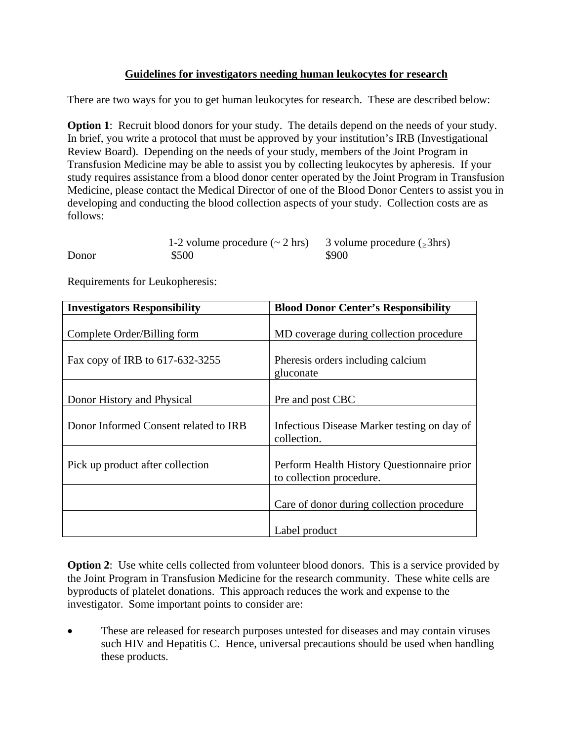## **Guidelines for investigators needing human leukocytes for research**

There are two ways for you to get human leukocytes for research. These are described below:

**Option 1:** Recruit blood donors for your study. The details depend on the needs of your study. In brief, you write a protocol that must be approved by your institution's IRB (Investigational Review Board). Depending on the needs of your study, members of the Joint Program in Transfusion Medicine may be able to assist you by collecting leukocytes by apheresis. If your study requires assistance from a blood donor center operated by the Joint Program in Transfusion Medicine, please contact the Medical Director of one of the Blood Donor Centers to assist you in developing and conducting the blood collection aspects of your study. Collection costs are as follows:

|       | 1-2 volume procedure $(\sim 2 \text{ hrs})$ 3 volume procedure ( $\ge 3 \text{ hrs}$ ) |       |
|-------|----------------------------------------------------------------------------------------|-------|
| Donor | \$500                                                                                  | \$900 |

Requirements for Leukopheresis:

| <b>Investigators Responsibility</b>   | <b>Blood Donor Center's Responsibility</b>                             |  |
|---------------------------------------|------------------------------------------------------------------------|--|
| Complete Order/Billing form           | MD coverage during collection procedure                                |  |
| Fax copy of IRB to 617-632-3255       | Pheresis orders including calcium<br>gluconate                         |  |
| Donor History and Physical            | Pre and post CBC                                                       |  |
| Donor Informed Consent related to IRB | Infectious Disease Marker testing on day of<br>collection.             |  |
| Pick up product after collection      | Perform Health History Questionnaire prior<br>to collection procedure. |  |
|                                       | Care of donor during collection procedure                              |  |
|                                       | Label product                                                          |  |

**Option 2:** Use white cells collected from volunteer blood donors. This is a service provided by the Joint Program in Transfusion Medicine for the research community. These white cells are byproducts of platelet donations. This approach reduces the work and expense to the investigator. Some important points to consider are:

These are released for research purposes untested for diseases and may contain viruses such HIV and Hepatitis C. Hence, universal precautions should be used when handling these products.